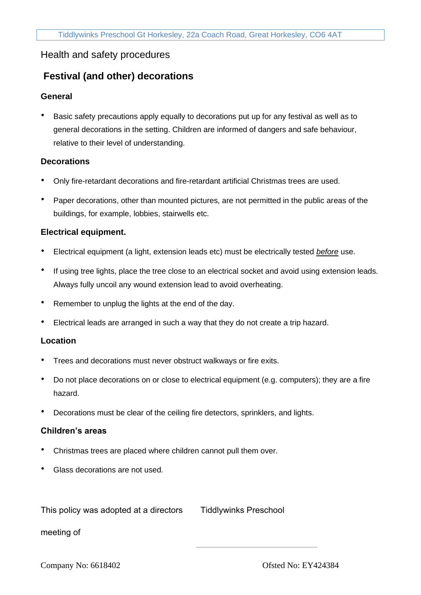# Health and safety procedures

# **Festival (and other) decorations**

## **General**

• Basic safety precautions apply equally to decorations put up for any festival as well as to general decorations in the setting. Children are informed of dangers and safe behaviour, relative to their level of understanding.

#### **Decorations**

- Only fire-retardant decorations and fire-retardant artificial Christmas trees are used.
- Paper decorations, other than mounted pictures, are not permitted in the public areas of the buildings, for example, lobbies, stairwells etc.

## **Electrical equipment.**

- Electrical equipment (a light, extension leads etc) must be electrically tested *before* use.
- If using tree lights, place the tree close to an electrical socket and avoid using extension leads. Always fully uncoil any wound extension lead to avoid overheating.
- Remember to unplug the lights at the end of the day.
- Electrical leads are arranged in such a way that they do not create a trip hazard.

#### **Location**

- Trees and decorations must never obstruct walkways or fire exits.
- Do not place decorations on or close to electrical equipment (e.g. computers); they are a fire hazard.
- Decorations must be clear of the ceiling fire detectors, sprinklers, and lights.

#### **Children's areas**

- Christmas trees are placed where children cannot pull them over.
- Glass decorations are not used.

This policy was adopted at a directors

Tiddlywinks Preschool

meeting of

Company No: 6618402 Ofsted No: EY424384